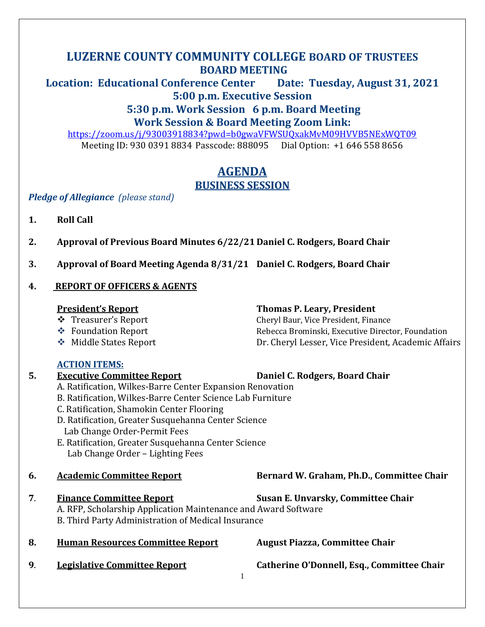## **LUZERNE COUNTY COMMUNITY COLLEGE BOARD OF TRUSTEES BOARD MEETING**

**Location: Educational Conference Center Date: Tuesday, August 31, 2021 5:00 p.m. Executive Session** 

### **5:30 p.m. Work Session 6 p.m. Board Meeting Work Session & Board Meeting Zoom Link:**

<https://zoom.us/j/93003918834?pwd=b0gwaVFWSUQxakMvM09HVVB5NExWQT09> Meeting ID: 930 0391 8834 Passcode: 888095 Dial Option: +1 646 558 8656

## **AGENDA BUSINESS SESSION**

*Pledge of Allegiance (please stand)*

- **1. Roll Call**
- **2. Approval of Previous Board Minutes 6/22/21 Daniel C. Rodgers, Board Chair**
- **3. Approval of Board Meeting Agenda 8/31/21 Daniel C. Rodgers, Board Chair**

**5. Executive Committee Report Daniel C. Rodgers, Board Chair**

### **4. REPORT OF OFFICERS & AGENTS**

### **President's Report Thomas P. Leary, President**

- ❖ Treasurer's Report Cheryl Baur, Vice President, Finance
- ❖ Foundation Report Rebecca Brominski, Executive Director, Foundation
- ❖ Middle States Report Dr. Cheryl Lesser, Vice President, Academic Affairs

### **ACTION ITEMS:**

# A. Ratification, Wilkes-Barre Center Expansion Renovation B. Ratification, Wilkes-Barre Center Science Lab Furniture C. Ratification, Shamokin Center Flooring D. Ratification, Greater Susquehanna Center Science Lab Change Order-Permit Fees E. Ratification, Greater Susquehanna Center Science Lab Change Order – Lighting Fees **6. Academic Committee Report Bernard W. Graham, Ph.D., Committee Chair 7**. **Finance Committee Report Susan E. Unvarsky, Committee Chair** A. RFP, Scholarship Application Maintenance and Award Software B. Third Party Administration of Medical Insurance **8. Human Resources Committee Report August Piazza, Committee Chair 9**. **Legislative Committee Report Catherine O'Donnell, Esq., Committee Chair**

1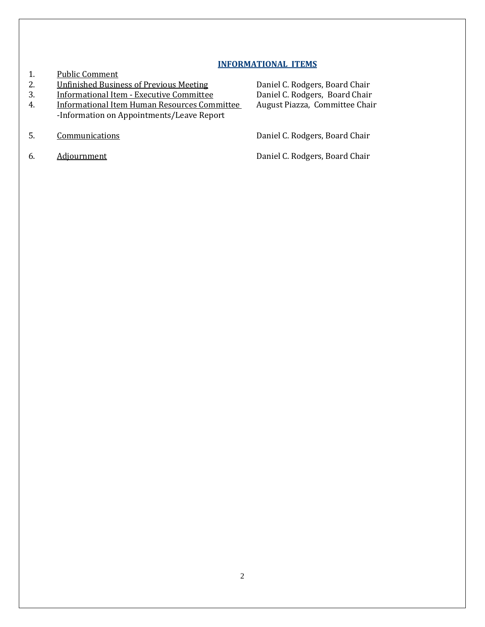#### **INFORMATIONAL ITEMS**

- 1. Public Comment
- 2. **Unfinished Business of Previous Meeting C. Rodgers, Board Chair**
- 
- 4. Informational Item Human Resources Committee -Information on Appointments/Leave Report
- 
- 

3. Informational Item - Executive Committee Daniel C. Rodgers, Board Chair<br>4. Informational Item Human Resources Committee August Piazza, Committee Chair

5. Communications Communications Communications Communications C. Rodgers, Board Chair

6. Adjournment Adjournment Adjournment C. Rodgers, Board Chair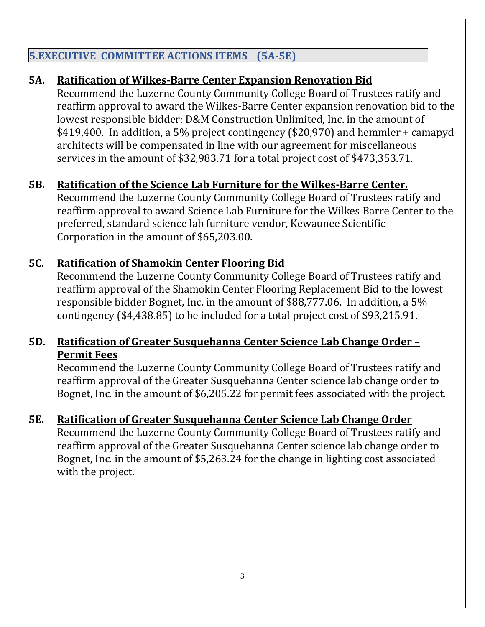# **5.EXECUTIVE COMMITTEE ACTIONS ITEMS (5A-5E)**

# **5A. Ratification of Wilkes-Barre Center Expansion Renovation Bid**

Recommend the Luzerne County Community College Board of Trustees ratify and reaffirm approval to award the Wilkes-Barre Center expansion renovation bid to the lowest responsible bidder: D&M Construction Unlimited, Inc. in the amount of \$419,400. In addition, a 5% project contingency (\$20,970) and hemmler + camapyd architects will be compensated in line with our agreement for miscellaneous services in the amount of \$32,983.71 for a total project cost of \$473,353.71.

# **5B. Ratification of the Science Lab Furniture for the Wilkes-Barre Center.**

Recommend the Luzerne County Community College Board of Trustees ratify and reaffirm approval to award Science Lab Furniture for the Wilkes Barre Center to the preferred, standard science lab furniture vendor, Kewaunee Scientific Corporation in the amount of \$65,203.00.

# **5C. Ratification of Shamokin Center Flooring Bid**

Recommend the Luzerne County Community College Board of Trustees ratify and reaffirm approval of the Shamokin Center Flooring Replacement Bid **t**o the lowest responsible bidder Bognet, Inc. in the amount of \$88,777.06. In addition, a 5% contingency (\$4,438.85) to be included for a total project cost of \$93,215.91.

## **5D. Ratification of Greater Susquehanna Center Science Lab Change Order – Permit Fees**

Recommend the Luzerne County Community College Board of Trustees ratify and reaffirm approval of the Greater Susquehanna Center science lab change order to Bognet, Inc. in the amount of \$6,205.22 for permit fees associated with the project.

# **5E. Ratification of Greater Susquehanna Center Science Lab Change Order**

Recommend the Luzerne County Community College Board of Trustees ratify and reaffirm approval of the Greater Susquehanna Center science lab change order to Bognet, Inc. in the amount of \$5,263.24 for the change in lighting cost associated with the project.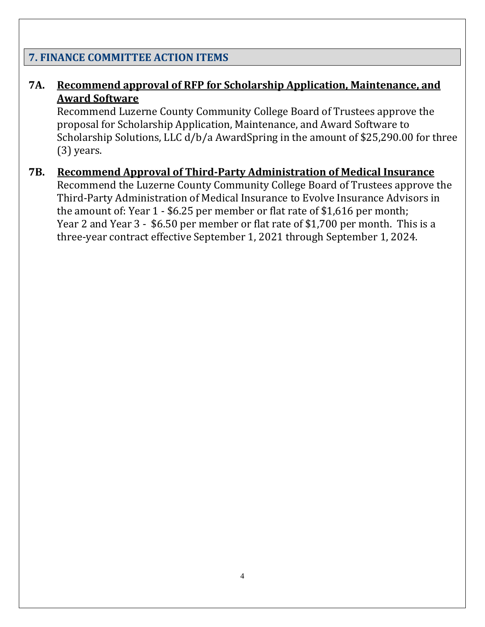### **7. FINANCE COMMITTEE ACTION ITEMS**

## **7A. Recommend approval of RFP for Scholarship Application, Maintenance, and Award Software**

Recommend Luzerne County Community College Board of Trustees approve the proposal for Scholarship Application, Maintenance, and Award Software to Scholarship Solutions, LLC d/b/a AwardSpring in the amount of \$25,290.00 for three (3) years.

### **7B. Recommend Approval of Third-Party Administration of Medical Insurance**

Recommend the Luzerne County Community College Board of Trustees approve the Third-Party Administration of Medical Insurance to Evolve Insurance Advisors in the amount of: Year 1 - \$6.25 per member or flat rate of \$1,616 per month; Year 2 and Year 3 - \$6.50 per member or flat rate of \$1,700 per month. This is a three-year contract effective September 1, 2021 through September 1, 2024.